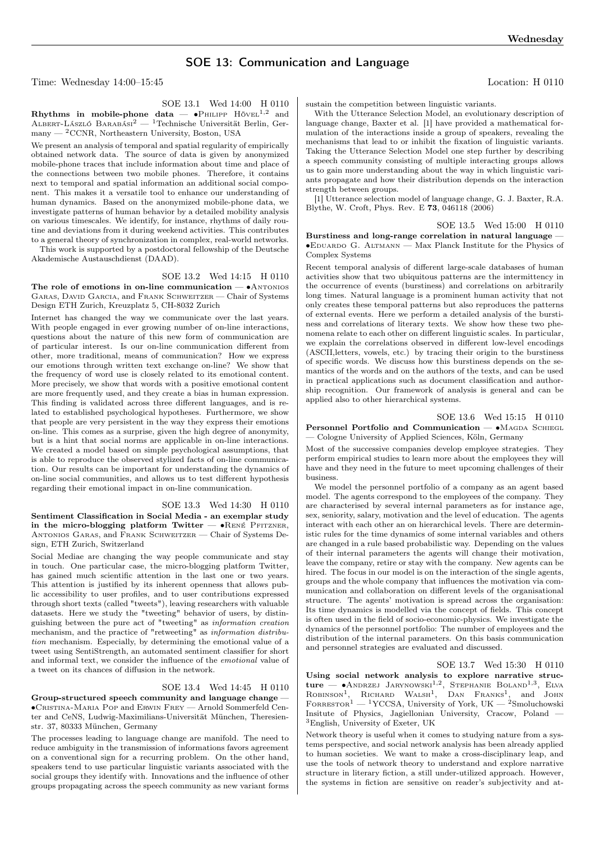## SOE 13: Communication and Language

Time: Wednesday 14:00–15:45 Location: H 0110

SOE 13.1 Wed 14:00 H 0110

Rhythms in mobile-phone data —  $\bullet$ Phillipp Hövel<sup>1,2</sup> and Albert-László Barabási<sup>2</sup> — <sup>1</sup>Technische Universität Berlin, Ger- $\mu$ many — <sup>2</sup>CCNR, Northeastern University, Boston, USA

We present an analysis of temporal and spatial regularity of empirically obtained network data. The source of data is given by anonymized mobile-phone traces that include information about time and place of the connections between two mobile phones. Therefore, it contains next to temporal and spatial information an additional social component. This makes it a versatile tool to enhance our understanding of human dynamics. Based on the anonymized mobile-phone data, we investigate patterns of human behavior by a detailed mobility analysis on various timescales. We identify, for instance, rhythms of daily routine and deviations from it during weekend activities. This contributes to a general theory of synchronization in complex, real-world networks.

This work is supported by a postdoctoral fellowship of the Deutsche Akademische Austauschdienst (DAAD).

## SOE 13.2 Wed 14:15 H 0110

The role of emotions in on-line communication — •ANTONIOS Garas, David Garcia, and Frank Schweitzer — Chair of Systems Design ETH Zurich, Kreuzplatz 5, CH-8032 Zurich

Internet has changed the way we communicate over the last years. With people engaged in ever growing number of on-line interactions, questions about the nature of this new form of communication are of particular interest. Is our on-line communication different from other, more traditional, means of communication? How we express our emotions through written text exchange on-line? We show that the frequency of word use is closely related to its emotional content. More precisely, we show that words with a positive emotional content are more frequently used, and they create a bias in human expression. This finding is validated across three different languages, and is related to established psychological hypotheses. Furthermore, we show that people are very persistent in the way they express their emotions on-line. This comes as a surprise, given the high degree of anonymity, but is a hint that social norms are applicable in on-line interactions. We created a model based on simple psychological assumptions, that is able to reproduce the observed stylized facts of on-line communication. Our results can be important for understanding the dynamics of on-line social communities, and allows us to test different hypothesis regarding their emotional impact in on-line communication.

## SOE 13.3 Wed 14:30 H 0110

Sentiment Classification in Social Media - an exemplar study in the micro-blogging platform Twitter —  $\bullet$ RENÉ PFITZNER, Antonios Garas, and Frank Schweitzer — Chair of Systems Design, ETH Zurich, Switzerland

Social Mediae are changing the way people communicate and stay in touch. One particular case, the micro-blogging platform Twitter, has gained much scientific attention in the last one or two years. This attention is justified by its inherent openness that allows public accessibility to user profiles, and to user contributions expressed through short texts (called "tweets"), leaving researchers with valuable datasets. Here we study the "tweeting" behavior of users, by distinguishing between the pure act of "tweeting" as information creation mechanism, and the practice of "retweeting" as information distribution mechanism. Especially, by determining the emotional value of a tweet using SentiStrength, an automated sentiment classifier for short and informal text, we consider the influence of the emotional value of a tweet on its chances of diffusion in the network.

## SOE 13.4 Wed 14:45 H 0110

Group-structured speech community and language change — ∙Cristina-Maria Pop and Erwin Frey — Arnold Sommerfeld Center and CeNS, Ludwig-Maximilians-Universität München, Theresienstr. 37, 80333 München, Germany

The processes leading to language change are manifold. The need to reduce ambiguity in the transmission of informations favors agreement on a conventional sign for a recurring problem. On the other hand, speakers tend to use particular linguistic variants associated with the social groups they identify with. Innovations and the influence of other groups propagating across the speech community as new variant forms

sustain the competition between linguistic variants.

With the Utterance Selection Model, an evolutionary description of language change, Baxter et al. [1] have provided a mathematical formulation of the interactions inside a group of speakers, revealing the mechanisms that lead to or inhibit the fixation of linguistic variants. Taking the Utterance Selection Model one step further by describing a speech community consisting of multiple interacting groups allows us to gain more understanding about the way in which linguistic variants propagate and how their distribution depends on the interaction strength between groups.

[1] Utterance selection model of language change, G. J. Baxter, R.A. Blythe, W. Croft, Phys. Rev. E 73, 046118 (2006)

SOE 13.5 Wed 15:00 H 0110

Burstiness and long-range correlation in natural language — ∙Eduardo G. Altmann — Max Planck Institute for the Physics of Complex Systems

Recent temporal analysis of different large-scale databases of human activities show that two ubiquitous patterns are the intermittency in the occurrence of events (burstiness) and correlations on arbitrarily long times. Natural language is a prominent human activity that not only creates these temporal patterns but also reproduces the patterns of external events. Here we perform a detailed analysis of the burstiness and correlations of literary texts. We show how these two phenomena relate to each other on different linguistic scales. In particular, we explain the correlations observed in different low-level encodings (ASCII,letters, vowels, etc.) by tracing their origin to the burstiness of specific words. We discuss how this burstiness depends on the semantics of the words and on the authors of the texts, and can be used in practical applications such as document classification and authorship recognition. Our framework of analysis is general and can be applied also to other hierarchical systems.

SOE 13.6 Wed 15:15 H 0110 Personnel Portfolio and Communication — •MAGDA SCHIEGL — Cologne University of Applied Sciences, Köln, Germany

Most of the successive companies develop employee strategies. They perform empirical studies to learn more about the employees they will have and they need in the future to meet upcoming challenges of their business.

We model the personnel portfolio of a company as an agent based model. The agents correspond to the employees of the company. They are characterised by several internal parameters as for instance age, sex, seniority, salary, motivation and the level of education. The agents interact with each other an on hierarchical levels. There are deterministic rules for the time dynamics of some internal variables and others are changed in a rule based probabilistic way. Depending on the values of their internal parameters the agents will change their motivation, leave the company, retire or stay with the company. New agents can be hired. The focus in our model is on the interaction of the single agents, groups and the whole company that influences the motivation via communication and collaboration on different levels of the organisational structure. The agents' motivation is spread across the organisation: Its time dynamics is modelled via the concept of fields. This concept is often used in the field of socio-economic-physics. We investigate the dynamics of the personnel portfolio: The number of employees and the distribution of the internal parameters. On this basis communication and personnel strategies are evaluated and discussed.

SOE 13.7 Wed 15:30 H 0110 Using social network analysis to explore narrative structure — •Andrzej Jarynowski<sup>1,2</sup>, Stephanie Boland<sup>1,3</sup>, Elva<br>Robinson<sup>1</sup>, Richard Walsh<sup>1</sup>, Dan Franks<sup>1</sup>, and John

 $\text{For} \text{resor}^1 - \text{1YCCSA}, \text{University of York}, \text{UK} - \text{2Smoluchowski}$ Insitute of Physics, Jagiellonian University, Cracow, Poland — <sup>3</sup>English, University of Exeter, UK Network theory is useful when it comes to studying nature from a sys-

tems perspective, and social network analysis has been already applied to human societies. We want to make a cross-disciplinary leap, and use the tools of network theory to understand and explore narrative structure in literary fiction, a still under-utilized approach. However, the systems in fiction are sensitive on reader's subjectivity and at